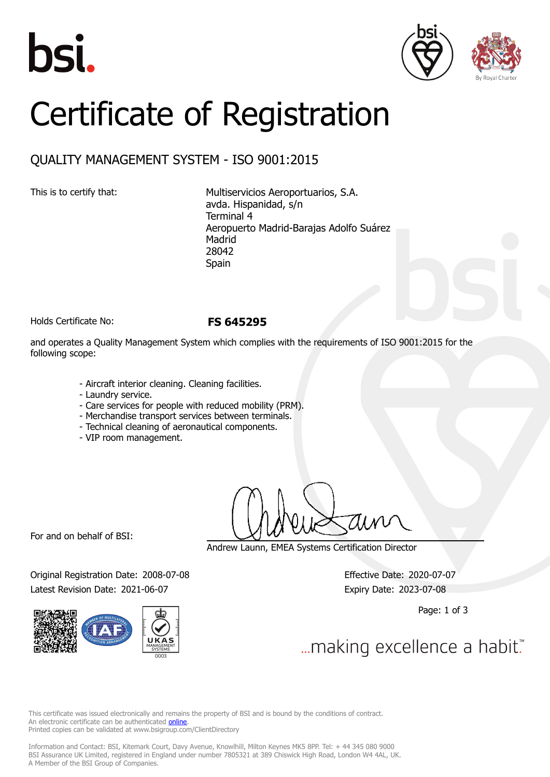





# Certificate of Registration

# QUALITY MANAGEMENT SYSTEM - ISO 9001:2015

This is to certify that: Multiservicios Aeroportuarios, S.A. avda. Hispanidad, s/n Terminal 4 Aeropuerto Madrid-Barajas Adolfo Suárez Madrid 28042 Spain

Holds Certificate No: **FS 645295**

and operates a Quality Management System which complies with the requirements of ISO 9001:2015 for the following scope:

- Aircraft interior cleaning. Cleaning facilities.
- Laundry service.
- Care services for people with reduced mobility (PRM).
- Merchandise transport services between terminals.
- Technical cleaning of aeronautical components.
- VIP room management.

For and on behalf of BSI:

Andrew Launn, EMEA Systems Certification Director

Original Registration Date: 2008-07-08 Effective Date: 2020-07-07 Latest Revision Date: 2021-06-07 expiry Date: 2023-07-08



Page: 1 of 3

... making excellence a habit."

This certificate was issued electronically and remains the property of BSI and is bound by the conditions of contract. An electronic certificate can be authenticated **[online](https://pgplus.bsigroup.com/CertificateValidation/CertificateValidator.aspx?CertificateNumber=FS+645295&ReIssueDate=07%2f06%2f2021&Template=cemea_en)**. Printed copies can be validated at www.bsigroup.com/ClientDirectory

Information and Contact: BSI, Kitemark Court, Davy Avenue, Knowlhill, Milton Keynes MK5 8PP. Tel: + 44 345 080 9000 BSI Assurance UK Limited, registered in England under number 7805321 at 389 Chiswick High Road, London W4 4AL, UK. A Member of the BSI Group of Companies.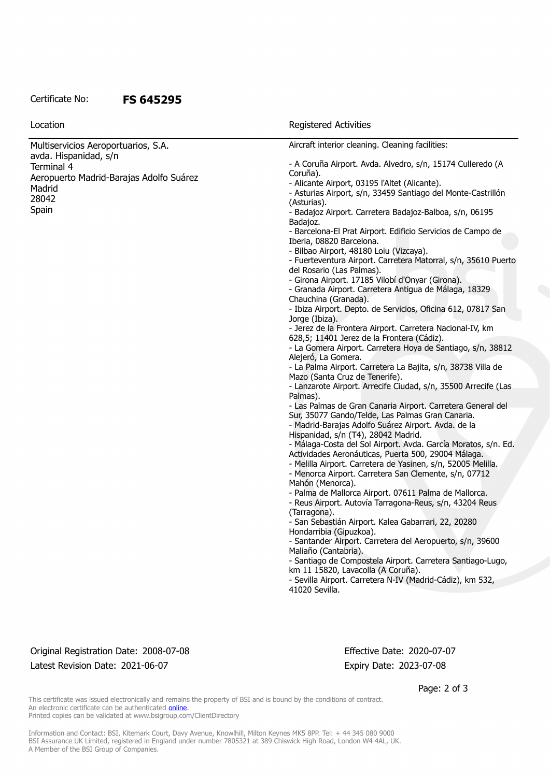#### Certificate No: **FS 645295**

| Location                                                     | Registered Activities                                                                                            |
|--------------------------------------------------------------|------------------------------------------------------------------------------------------------------------------|
| Multiservicios Aeroportuarios, S.A.<br>avda. Hispanidad, s/n | Aircraft interior cleaning. Cleaning facilities:                                                                 |
| Terminal 4                                                   | - A Coruña Airport. Avda. Alvedro, s/n, 15174 Culleredo (A                                                       |
|                                                              | Coruña).                                                                                                         |
| Aeropuerto Madrid-Barajas Adolfo Suárez                      | - Alicante Airport, 03195 l'Altet (Alicante).                                                                    |
| Madrid                                                       | - Asturias Airport, s/n, 33459 Santiago del Monte-Castrillón                                                     |
| 28042                                                        | (Asturias).                                                                                                      |
| Spain                                                        | - Badajoz Airport. Carretera Badajoz-Balboa, s/n, 06195<br>Badajoz.                                              |
|                                                              | - Barcelona-El Prat Airport. Edificio Servicios de Campo de<br>Iberia, 08820 Barcelona.                          |
|                                                              | - Bilbao Airport, 48180 Loiu (Vizcaya).                                                                          |
|                                                              | - Fuerteventura Airport. Carretera Matorral, s/n, 35610 Puerto                                                   |
|                                                              | del Rosario (Las Palmas).                                                                                        |
|                                                              | - Girona Airport. 17185 Vilobí d'Onyar (Girona).                                                                 |
|                                                              | - Granada Airport. Carretera Antigua de Málaga, 18329                                                            |
|                                                              | Chauchina (Granada).                                                                                             |
|                                                              | - Ibiza Airport. Depto. de Servicios, Oficina 612, 07817 San                                                     |
|                                                              | Jorge (Ibiza).<br>- Jerez de la Frontera Airport. Carretera Nacional-IV, km                                      |
|                                                              | 628,5; 11401 Jerez de la Frontera (Cádiz).                                                                       |
|                                                              | - La Gomera Airport. Carretera Hoya de Santiago, s/n, 38812                                                      |
|                                                              | Alejeró, La Gomera.                                                                                              |
|                                                              | - La Palma Airport. Carretera La Bajita, s/n, 38738 Villa de                                                     |
|                                                              | Mazo (Santa Cruz de Tenerife).                                                                                   |
|                                                              | - Lanzarote Airport. Arrecife Ciudad, s/n, 35500 Arrecife (Las                                                   |
|                                                              | Palmas).                                                                                                         |
|                                                              | - Las Palmas de Gran Canaria Airport. Carretera General del                                                      |
|                                                              | Sur, 35077 Gando/Telde, Las Palmas Gran Canaria.                                                                 |
|                                                              | - Madrid-Barajas Adolfo Suárez Airport. Avda. de la                                                              |
|                                                              | Hispanidad, s/n (T4), 28042 Madrid.                                                                              |
|                                                              | - Málaga-Costa del Sol Airport. Avda. García Moratos, s/n. Ed.                                                   |
|                                                              | Actividades Aeronáuticas, Puerta 500, 29004 Málaga.                                                              |
|                                                              | - Melilla Airport. Carretera de Yasinen, s/n, 52005 Melilla.                                                     |
|                                                              | - Menorca Airport. Carretera San Clemente, s/n, 07712                                                            |
|                                                              | Mahón (Menorca).                                                                                                 |
|                                                              | - Palma de Mallorca Airport. 07611 Palma de Mallorca.<br>- Reus Airport. Autovía Tarragona-Reus, s/n, 43204 Reus |
|                                                              | (Tarragona).                                                                                                     |
|                                                              | - San Sebastián Airport. Kalea Gabarrari, 22, 20280                                                              |
|                                                              | Hondarribia (Gipuzkoa).                                                                                          |
|                                                              | - Santander Airport. Carretera del Aeropuerto, s/n, 39600                                                        |
|                                                              | Maliaño (Cantabria).                                                                                             |
|                                                              | - Santiago de Compostela Airport. Carretera Santiago-Lugo,                                                       |
|                                                              | km 11 15820, Lavacolla (A Coruña).                                                                               |
|                                                              | - Sevilla Airport. Carretera N-IV (Madrid-Cádiz), km 532,                                                        |
|                                                              | 41020 Sevilla.                                                                                                   |
|                                                              |                                                                                                                  |
|                                                              |                                                                                                                  |
|                                                              |                                                                                                                  |

### Original Registration Date: 2008-07-08 Effective Date: 2020-07-07 Latest Revision Date: 2021-06-07 expiry Date: 2023-07-08

Page: 2 of 3

This certificate was issued electronically and remains the property of BSI and is bound by the conditions of contract. An electronic certificate can be authenticated **[online](https://pgplus.bsigroup.com/CertificateValidation/CertificateValidator.aspx?CertificateNumber=FS+645295&ReIssueDate=07%2f06%2f2021&Template=cemea_en)**. Printed copies can be validated at www.bsigroup.com/ClientDirectory

Information and Contact: BSI, Kitemark Court, Davy Avenue, Knowlhill, Milton Keynes MK5 8PP. Tel: + 44 345 080 9000 BSI Assurance UK Limited, registered in England under number 7805321 at 389 Chiswick High Road, London W4 4AL, UK. A Member of the BSI Group of Companies.